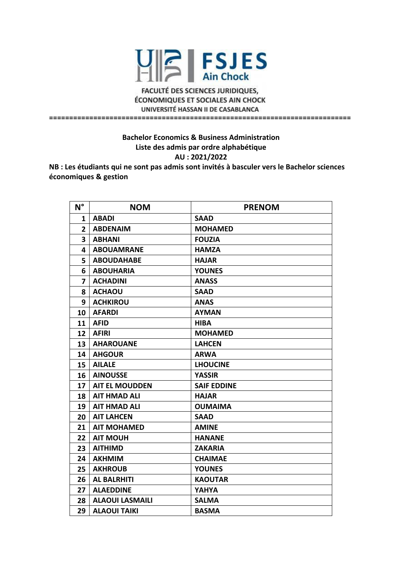

**FACULTÉ DES SCIENCES JURIDIQUES, ÉCONOMIQUES ET SOCIALES AIN CHOCK** UNIVERSITÉ HASSAN II DE CASABLANCA **===========================================================================**

> **Bachelor Economics & Business Administration Liste des admis par ordre alphabétique AU : 2021/2022**

**NB : Les étudiants qui ne sont pas admis sont invités à basculer vers le Bachelor sciences économiques & gestion** 

| $N^{\circ}$    | <b>NOM</b>             | <b>PRENOM</b>      |
|----------------|------------------------|--------------------|
| 1              | <b>ABADI</b>           | <b>SAAD</b>        |
| $\overline{2}$ | <b>ABDENAIM</b>        | <b>MOHAMED</b>     |
| 3              | <b>ABHANI</b>          | <b>FOUZIA</b>      |
| 4              | <b>ABOUAMRANE</b>      | <b>HAMZA</b>       |
| 5              | <b>ABOUDAHABE</b>      | <b>HAJAR</b>       |
| 6              | <b>ABOUHARIA</b>       | <b>YOUNES</b>      |
| 7              | <b>ACHADINI</b>        | <b>ANASS</b>       |
| 8              | <b>ACHAOU</b>          | <b>SAAD</b>        |
| 9              | <b>ACHKIROU</b>        | <b>ANAS</b>        |
| 10             | <b>AFARDI</b>          | <b>AYMAN</b>       |
| 11             | <b>AFID</b>            | <b>HIBA</b>        |
| 12             | <b>AFIRI</b>           | <b>MOHAMED</b>     |
| 13             | <b>AHAROUANE</b>       | <b>LAHCEN</b>      |
| 14             | <b>AHGOUR</b>          | <b>ARWA</b>        |
| 15             | <b>AILALE</b>          | <b>LHOUCINE</b>    |
| 16             | <b>AINOUSSE</b>        | <b>YASSIR</b>      |
| 17             | <b>AIT EL MOUDDEN</b>  | <b>SAIF EDDINE</b> |
| 18             | <b>AIT HMAD ALI</b>    | <b>HAJAR</b>       |
| 19             | <b>AIT HMAD ALI</b>    | <b>OUMAIMA</b>     |
| 20             | <b>AIT LAHCEN</b>      | <b>SAAD</b>        |
| 21             | <b>AIT MOHAMED</b>     | <b>AMINE</b>       |
| 22             | <b>AIT MOUH</b>        | <b>HANANE</b>      |
| 23             | <b>AITHIMD</b>         | <b>ZAKARIA</b>     |
| 24             | <b>AKHMIM</b>          | <b>CHAIMAE</b>     |
| 25             | <b>AKHROUB</b>         | <b>YOUNES</b>      |
| 26             | <b>AL BALRHITI</b>     | <b>KAOUTAR</b>     |
| 27             | <b>ALAEDDINE</b>       | <b>YAHYA</b>       |
| 28             | <b>ALAOUI LASMAILI</b> | <b>SALMA</b>       |
| 29             | <b>ALAOUI TAIKI</b>    | <b>BASMA</b>       |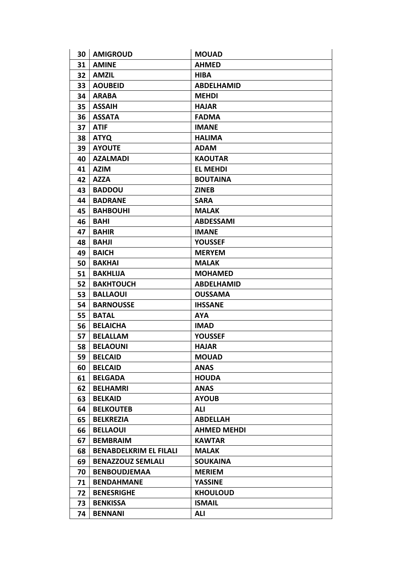| 30 | <b>AMIGROUD</b>               | <b>MOUAD</b>       |
|----|-------------------------------|--------------------|
| 31 | <b>AMINE</b>                  | <b>AHMED</b>       |
| 32 | <b>AMZIL</b>                  | <b>HIBA</b>        |
| 33 | <b>AOUBEID</b>                | <b>ABDELHAMID</b>  |
| 34 | <b>ARABA</b>                  | <b>MEHDI</b>       |
| 35 | <b>ASSAIH</b>                 | <b>HAJAR</b>       |
| 36 | <b>ASSATA</b>                 | <b>FADMA</b>       |
| 37 | <b>ATIF</b>                   | <b>IMANE</b>       |
| 38 | <b>ATYQ</b>                   | <b>HALIMA</b>      |
| 39 | <b>AYOUTE</b>                 | <b>ADAM</b>        |
| 40 | <b>AZALMADI</b>               | <b>KAOUTAR</b>     |
| 41 | <b>AZIM</b>                   | <b>EL MEHDI</b>    |
| 42 | <b>AZZA</b>                   | <b>BOUTAINA</b>    |
| 43 | <b>BADDOU</b>                 | <b>ZINEB</b>       |
| 44 | <b>BADRANE</b>                | <b>SARA</b>        |
| 45 | <b>BAHBOUHI</b>               | <b>MALAK</b>       |
| 46 | <b>BAHI</b>                   | <b>ABDESSAMI</b>   |
| 47 | <b>BAHIR</b>                  | <b>IMANE</b>       |
| 48 | <b>BAHJI</b>                  | <b>YOUSSEF</b>     |
| 49 | <b>BAICH</b>                  | <b>MERYEM</b>      |
| 50 | <b>BAKHAI</b>                 | <b>MALAK</b>       |
| 51 | <b>BAKHLIJA</b>               | <b>MOHAMED</b>     |
| 52 | <b>BAKHTOUCH</b>              | <b>ABDELHAMID</b>  |
| 53 | <b>BALLAOUI</b>               | <b>OUSSAMA</b>     |
| 54 | <b>BARNOUSSE</b>              | <b>IHSSANE</b>     |
| 55 | <b>BATAL</b>                  | <b>AYA</b>         |
| 56 | <b>BELAICHA</b>               | <b>IMAD</b>        |
| 57 | <b>BELALLAM</b>               | <b>YOUSSEF</b>     |
| 58 | <b>BELAOUNI</b>               | <b>HAJAR</b>       |
| 59 | <b>BELCAID</b>                | <b>MOUAD</b>       |
| 60 | <b>BELCAID</b>                | <b>ANAS</b>        |
| 61 | <b>BELGADA</b>                | <b>HOUDA</b>       |
| 62 | <b>BELHAMRI</b>               | <b>ANAS</b>        |
| 63 | <b>BELKAID</b>                | <b>AYOUB</b>       |
| 64 | <b>BELKOUTEB</b>              | ALI                |
| 65 | <b>BELKREZIA</b>              | <b>ABDELLAH</b>    |
| 66 | <b>BELLAOUI</b>               | <b>AHMED MEHDI</b> |
| 67 | <b>BEMBRAIM</b>               | <b>KAWTAR</b>      |
| 68 | <b>BENABDELKRIM EL FILALI</b> | <b>MALAK</b>       |
| 69 | <b>BENAZZOUZ SEMLALI</b>      | <b>SOUKAINA</b>    |
| 70 | <b>BENBOUDJEMAA</b>           | <b>MERIEM</b>      |
| 71 | <b>BENDAHMANE</b>             | <b>YASSINE</b>     |
| 72 | <b>BENESRIGHE</b>             | <b>KHOULOUD</b>    |
| 73 | <b>BENKISSA</b>               | <b>ISMAIL</b>      |
| 74 | <b>BENNANI</b>                | <b>ALI</b>         |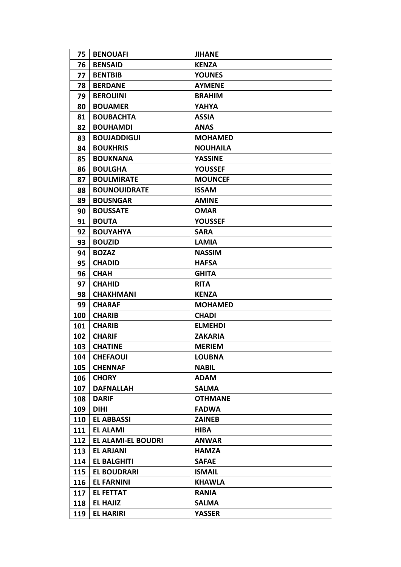| 75  | <b>BENOUAFI</b>           | <b>JIHANE</b>   |
|-----|---------------------------|-----------------|
| 76  | <b>BENSAID</b>            | <b>KENZA</b>    |
| 77  | <b>BENTBIB</b>            | <b>YOUNES</b>   |
| 78  | <b>BERDANE</b>            | <b>AYMENE</b>   |
| 79  | <b>BEROUINI</b>           | <b>BRAHIM</b>   |
| 80  | <b>BOUAMER</b>            | YAHYA           |
| 81  | <b>BOUBACHTA</b>          | <b>ASSIA</b>    |
| 82  | <b>BOUHAMDI</b>           | <b>ANAS</b>     |
| 83  | <b>BOUJADDIGUI</b>        | <b>MOHAMED</b>  |
| 84  | <b>BOUKHRIS</b>           | <b>NOUHAILA</b> |
| 85  | <b>BOUKNANA</b>           | <b>YASSINE</b>  |
| 86  | <b>BOULGHA</b>            | <b>YOUSSEF</b>  |
| 87  | <b>BOULMIRATE</b>         | <b>MOUNCEF</b>  |
| 88  | <b>BOUNOUIDRATE</b>       | <b>ISSAM</b>    |
| 89  | <b>BOUSNGAR</b>           | <b>AMINE</b>    |
| 90  | <b>BOUSSATE</b>           | <b>OMAR</b>     |
| 91  | <b>BOUTA</b>              | <b>YOUSSEF</b>  |
| 92  | <b>BOUYAHYA</b>           | <b>SARA</b>     |
| 93  | <b>BOUZID</b>             | <b>LAMIA</b>    |
| 94  | <b>BOZAZ</b>              | <b>NASSIM</b>   |
| 95  | <b>CHADID</b>             | <b>HAFSA</b>    |
| 96  | <b>CHAH</b>               | <b>GHITA</b>    |
| 97  | <b>CHAHID</b>             | <b>RITA</b>     |
| 98  | <b>CHAKHMANI</b>          | <b>KENZA</b>    |
| 99  | <b>CHARAF</b>             | <b>MOHAMED</b>  |
| 100 | <b>CHARIB</b>             | <b>CHADI</b>    |
| 101 | <b>CHARIB</b>             | <b>ELMEHDI</b>  |
| 102 | <b>CHARIF</b>             | <b>ZAKARIA</b>  |
| 103 | <b>CHATINE</b>            | <b>MERIEM</b>   |
| 104 | <b>CHEFAOUI</b>           | <b>LOUBNA</b>   |
| 105 | <b>CHENNAF</b>            | <b>NABIL</b>    |
| 106 | <b>CHORY</b>              | <b>ADAM</b>     |
| 107 | <b>DAFNALLAH</b>          | <b>SALMA</b>    |
| 108 | <b>DARIF</b>              | <b>OTHMANE</b>  |
| 109 | <b>DIHI</b>               | <b>FADWA</b>    |
| 110 | <b>EL ABBASSI</b>         | <b>ZAINEB</b>   |
| 111 | <b>EL ALAMI</b>           | <b>HIBA</b>     |
| 112 | <b>EL ALAMI-EL BOUDRI</b> | <b>ANWAR</b>    |
| 113 | <b>EL ARJANI</b>          | <b>HAMZA</b>    |
| 114 | <b>EL BALGHITI</b>        | <b>SAFAE</b>    |
| 115 | <b>EL BOUDRARI</b>        | <b>ISMAIL</b>   |
| 116 | <b>EL FARNINI</b>         | <b>KHAWLA</b>   |
| 117 | <b>EL FETTAT</b>          | <b>RANIA</b>    |
| 118 | <b>EL HAJIZ</b>           | <b>SALMA</b>    |
| 119 | <b>EL HARIRI</b>          | <b>YASSER</b>   |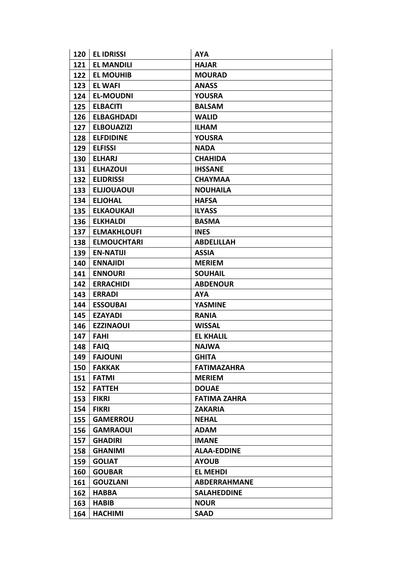| 120 | <b>EL IDRISSI</b>  | <b>AYA</b>          |
|-----|--------------------|---------------------|
| 121 | <b>EL MANDILI</b>  | <b>HAJAR</b>        |
| 122 | <b>EL MOUHIB</b>   | <b>MOURAD</b>       |
| 123 | <b>EL WAFI</b>     | <b>ANASS</b>        |
| 124 | <b>EL-MOUDNI</b>   | <b>YOUSRA</b>       |
| 125 | <b>ELBACITI</b>    | <b>BALSAM</b>       |
| 126 | <b>ELBAGHDADI</b>  | <b>WALID</b>        |
| 127 | <b>ELBOUAZIZI</b>  | <b>ILHAM</b>        |
| 128 | <b>ELFDIDINE</b>   | <b>YOUSRA</b>       |
| 129 | <b>ELFISSI</b>     | <b>NADA</b>         |
| 130 | <b>ELHARJ</b>      | <b>CHAHIDA</b>      |
| 131 | <b>ELHAZOUI</b>    | <b>IHSSANE</b>      |
| 132 | <b>ELIDRISSI</b>   | <b>CHAYMAA</b>      |
| 133 | <b>ELJJOUAOUI</b>  | <b>NOUHAILA</b>     |
| 134 | <b>ELJOHAL</b>     | <b>HAFSA</b>        |
| 135 | <b>ELKAOUKAJI</b>  | <b>ILYASS</b>       |
| 136 | <b>ELKHALDI</b>    | <b>BASMA</b>        |
| 137 | <b>ELMAKHLOUFI</b> | <b>INES</b>         |
| 138 | <b>ELMOUCHTARI</b> | <b>ABDELILLAH</b>   |
| 139 | <b>EN-NATIJI</b>   | <b>ASSIA</b>        |
| 140 | <b>ENNAJIDI</b>    | <b>MERIEM</b>       |
| 141 | <b>ENNOURI</b>     | <b>SOUHAIL</b>      |
| 142 | <b>ERRACHIDI</b>   | <b>ABDENOUR</b>     |
| 143 | <b>ERRADI</b>      | <b>AYA</b>          |
| 144 | <b>ESSOUBAI</b>    | <b>YASMINE</b>      |
| 145 | <b>EZAYADI</b>     | <b>RANIA</b>        |
| 146 | <b>EZZINAOUI</b>   | <b>WISSAL</b>       |
| 147 | <b>FAHI</b>        | <b>EL KHALIL</b>    |
| 148 | <b>FAIQ</b>        | <b>NAJWA</b>        |
| 149 | <b>FAJOUNI</b>     | <b>GHITA</b>        |
| 150 | <b>FAKKAK</b>      | <b>FATIMAZAHRA</b>  |
| 151 | <b>FATMI</b>       | <b>MERIEM</b>       |
| 152 | <b>FATTEH</b>      | <b>DOUAE</b>        |
| 153 | <b>FIKRI</b>       | <b>FATIMA ZAHRA</b> |
| 154 | <b>FIKRI</b>       | <b>ZAKARIA</b>      |
| 155 | <b>GAMERROU</b>    | <b>NEHAL</b>        |
| 156 | <b>GAMRAOUI</b>    | <b>ADAM</b>         |
| 157 | <b>GHADIRI</b>     | <b>IMANE</b>        |
| 158 | <b>GHANIMI</b>     | <b>ALAA-EDDINE</b>  |
| 159 | <b>GOLIAT</b>      | <b>AYOUB</b>        |
| 160 | <b>GOUBAR</b>      | <b>EL MEHDI</b>     |
| 161 | <b>GOUZLANI</b>    | <b>ABDERRAHMANE</b> |
| 162 | <b>HABBA</b>       | <b>SALAHEDDINE</b>  |
| 163 | <b>HABIB</b>       | <b>NOUR</b>         |
| 164 | <b>HACHIMI</b>     | <b>SAAD</b>         |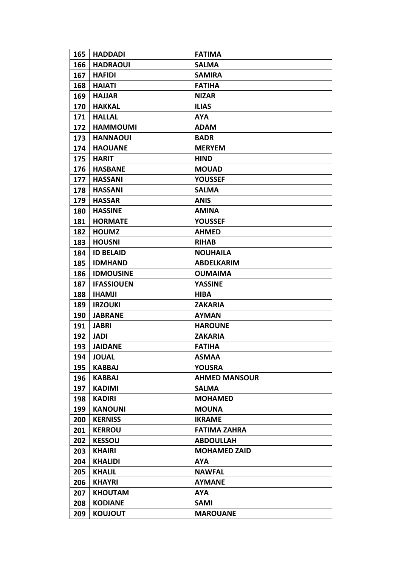| 165 | <b>HADDADI</b>    | <b>FATIMA</b>        |
|-----|-------------------|----------------------|
| 166 | <b>HADRAOUI</b>   | <b>SALMA</b>         |
| 167 | <b>HAFIDI</b>     | <b>SAMIRA</b>        |
| 168 | <b>HAIATI</b>     | <b>FATIHA</b>        |
| 169 | <b>HAJJAR</b>     | <b>NIZAR</b>         |
| 170 | <b>HAKKAL</b>     | <b>ILIAS</b>         |
| 171 | <b>HALLAL</b>     | <b>AYA</b>           |
| 172 | <b>HAMMOUMI</b>   | <b>ADAM</b>          |
| 173 | <b>HANNAOUI</b>   | <b>BADR</b>          |
| 174 | <b>HAOUANE</b>    | <b>MERYEM</b>        |
| 175 | <b>HARIT</b>      | <b>HIND</b>          |
| 176 | <b>HASBANE</b>    | <b>MOUAD</b>         |
| 177 | <b>HASSANI</b>    | <b>YOUSSEF</b>       |
| 178 | <b>HASSANI</b>    | <b>SALMA</b>         |
| 179 | <b>HASSAR</b>     | <b>ANIS</b>          |
| 180 | <b>HASSINE</b>    | <b>AMINA</b>         |
| 181 | <b>HORMATE</b>    | <b>YOUSSEF</b>       |
| 182 | <b>HOUMZ</b>      | <b>AHMED</b>         |
| 183 | <b>HOUSNI</b>     | <b>RIHAB</b>         |
| 184 | <b>ID BELAID</b>  | <b>NOUHAILA</b>      |
| 185 | <b>IDMHAND</b>    | <b>ABDELKARIM</b>    |
| 186 | <b>IDMOUSINE</b>  | <b>OUMAIMA</b>       |
| 187 | <b>IFASSIOUEN</b> | <b>YASSINE</b>       |
| 188 | <b>IHAMJI</b>     | <b>HIBA</b>          |
| 189 | <b>IRZOUKI</b>    | <b>ZAKARIA</b>       |
| 190 | <b>JABRANE</b>    | <b>AYMAN</b>         |
| 191 | <b>JABRI</b>      | <b>HAROUNE</b>       |
| 192 | <b>JADI</b>       | <b>ZAKARIA</b>       |
| 193 | <b>JAIDANE</b>    | <b>FATIHA</b>        |
| 194 | <b>JOUAL</b>      | <b>ASMAA</b>         |
| 195 | <b>KABBAJ</b>     | <b>YOUSRA</b>        |
| 196 | <b>KABBAJ</b>     | <b>AHMED MANSOUR</b> |
| 197 | <b>KADIMI</b>     | <b>SALMA</b>         |
| 198 | <b>KADIRI</b>     | <b>MOHAMED</b>       |
| 199 | <b>KANOUNI</b>    | <b>MOUNA</b>         |
| 200 | <b>KERNISS</b>    | <b>IKRAME</b>        |
| 201 | <b>KERROU</b>     | <b>FATIMA ZAHRA</b>  |
| 202 | <b>KESSOU</b>     | <b>ABDOULLAH</b>     |
| 203 | <b>KHAIRI</b>     | <b>MOHAMED ZAID</b>  |
| 204 | <b>KHALIDI</b>    | <b>AYA</b>           |
| 205 | <b>KHALIL</b>     | <b>NAWFAL</b>        |
| 206 | <b>KHAYRI</b>     | <b>AYMANE</b>        |
| 207 | <b>KHOUTAM</b>    | <b>AYA</b>           |
| 208 | <b>KODIANE</b>    | <b>SAMI</b>          |
| 209 | <b>KOUJOUT</b>    | <b>MAROUANE</b>      |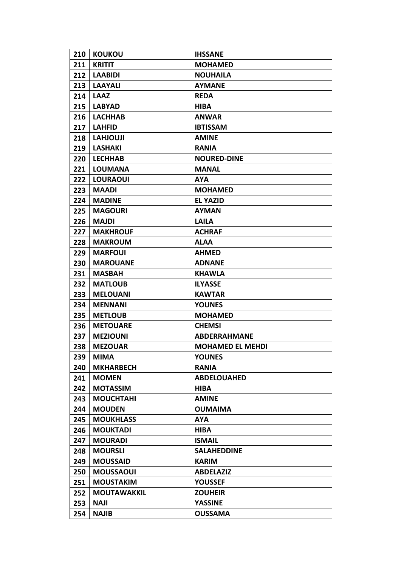| 210 | <b>KOUKOU</b>      | <b>IHSSANE</b>          |
|-----|--------------------|-------------------------|
| 211 | <b>KRITIT</b>      | <b>MOHAMED</b>          |
| 212 | <b>LAABIDI</b>     | <b>NOUHAILA</b>         |
| 213 | <b>LAAYALI</b>     | <b>AYMANE</b>           |
| 214 | <b>LAAZ</b>        | <b>REDA</b>             |
| 215 | <b>LABYAD</b>      | <b>HIBA</b>             |
| 216 | <b>LACHHAB</b>     | <b>ANWAR</b>            |
| 217 | <b>LAHFID</b>      | <b>IBTISSAM</b>         |
| 218 | <b>LAHJOUJI</b>    | <b>AMINE</b>            |
| 219 | <b>LASHAKI</b>     | <b>RANIA</b>            |
| 220 | <b>LECHHAB</b>     | <b>NOURED-DINE</b>      |
| 221 | <b>LOUMANA</b>     | <b>MANAL</b>            |
| 222 | <b>LOURAOUI</b>    | <b>AYA</b>              |
| 223 | <b>MAADI</b>       | <b>MOHAMED</b>          |
| 224 | <b>MADINE</b>      | <b>EL YAZID</b>         |
| 225 | <b>MAGOURI</b>     | <b>AYMAN</b>            |
| 226 | <b>MAJDI</b>       | <b>LAILA</b>            |
| 227 | <b>MAKHROUF</b>    | <b>ACHRAF</b>           |
| 228 | <b>MAKROUM</b>     | <b>ALAA</b>             |
| 229 | <b>MARFOUI</b>     | <b>AHMED</b>            |
| 230 | <b>MAROUANE</b>    | <b>ADNANE</b>           |
| 231 | <b>MASBAH</b>      | <b>KHAWLA</b>           |
| 232 | <b>MATLOUB</b>     | <b>ILYASSE</b>          |
| 233 | <b>MELOUANI</b>    | <b>KAWTAR</b>           |
| 234 | <b>MENNANI</b>     | <b>YOUNES</b>           |
| 235 | <b>METLOUB</b>     | <b>MOHAMED</b>          |
| 236 | <b>METOUARE</b>    | <b>CHEMSI</b>           |
| 237 | <b>MEZIOUNI</b>    | <b>ABDERRAHMANE</b>     |
| 238 | <b>MEZOUAR</b>     | <b>MOHAMED EL MEHDI</b> |
| 239 | <b>MIMA</b>        | <b>YOUNES</b>           |
| 240 | <b>MKHARBECH</b>   | <b>RANIA</b>            |
| 241 | <b>MOMEN</b>       | <b>ABDELOUAHED</b>      |
| 242 | <b>MOTASSIM</b>    | <b>HIBA</b>             |
| 243 | <b>MOUCHTAHI</b>   | <b>AMINE</b>            |
| 244 | <b>MOUDEN</b>      | <b>OUMAIMA</b>          |
| 245 | <b>MOUKHLASS</b>   | <b>AYA</b>              |
| 246 | <b>MOUKTADI</b>    | <b>HIBA</b>             |
| 247 | <b>MOURADI</b>     | <b>ISMAIL</b>           |
| 248 | <b>MOURSLI</b>     | <b>SALAHEDDINE</b>      |
| 249 | <b>MOUSSAID</b>    | <b>KARIM</b>            |
| 250 | <b>MOUSSAOUI</b>   | <b>ABDELAZIZ</b>        |
| 251 | <b>MOUSTAKIM</b>   | <b>YOUSSEF</b>          |
| 252 | <b>MOUTAWAKKIL</b> | <b>ZOUHEIR</b>          |
| 253 | <b>NAJI</b>        | <b>YASSINE</b>          |
| 254 | <b>NAJIB</b>       | <b>OUSSAMA</b>          |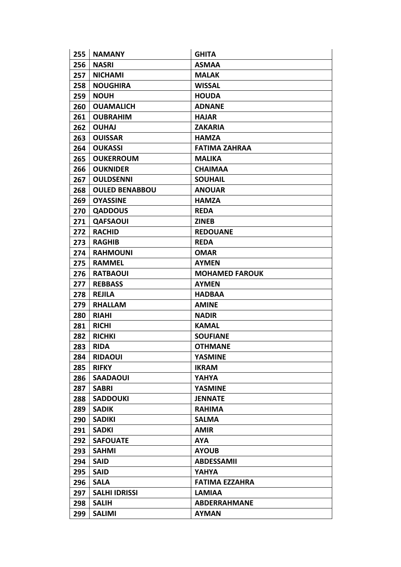| 255 | <b>NAMANY</b>         | <b>GHITA</b>          |
|-----|-----------------------|-----------------------|
| 256 | <b>NASRI</b>          | <b>ASMAA</b>          |
| 257 | <b>NICHAMI</b>        | <b>MALAK</b>          |
| 258 | <b>NOUGHIRA</b>       | <b>WISSAL</b>         |
| 259 | <b>NOUH</b>           | <b>HOUDA</b>          |
| 260 | <b>OUAMALICH</b>      | <b>ADNANE</b>         |
| 261 | <b>OUBRAHIM</b>       | <b>HAJAR</b>          |
| 262 | <b>OUHAJ</b>          | <b>ZAKARIA</b>        |
| 263 | <b>OUISSAR</b>        | <b>HAMZA</b>          |
| 264 | <b>OUKASSI</b>        | <b>FATIMA ZAHRAA</b>  |
| 265 | <b>OUKERROUM</b>      | <b>MALIKA</b>         |
| 266 | <b>OUKNIDER</b>       | <b>CHAIMAA</b>        |
| 267 | <b>OULDSENNI</b>      | <b>SOUHAIL</b>        |
| 268 | <b>OULED BENABBOU</b> | <b>ANOUAR</b>         |
| 269 | <b>OYASSINE</b>       | <b>HAMZA</b>          |
| 270 | <b>QADDOUS</b>        | <b>REDA</b>           |
| 271 | <b>QAFSAOUI</b>       | <b>ZINEB</b>          |
| 272 | <b>RACHID</b>         | <b>REDOUANE</b>       |
| 273 | <b>RAGHIB</b>         | <b>REDA</b>           |
| 274 | <b>RAHMOUNI</b>       | <b>OMAR</b>           |
| 275 | <b>RAMMEL</b>         | <b>AYMEN</b>          |
| 276 | <b>RATBAOUI</b>       | <b>MOHAMED FAROUK</b> |
| 277 | <b>REBBASS</b>        | <b>AYMEN</b>          |
| 278 | <b>REJILA</b>         | <b>HADBAA</b>         |
| 279 | <b>RHALLAM</b>        | <b>AMINE</b>          |
| 280 | <b>RIAHI</b>          | <b>NADIR</b>          |
| 281 | <b>RICHI</b>          | <b>KAMAL</b>          |
| 282 | <b>RICHKI</b>         | <b>SOUFIANE</b>       |
| 283 | <b>RIDA</b>           | <b>OTHMANE</b>        |
| 284 | <b>RIDAOUI</b>        | <b>YASMINE</b>        |
| 285 | <b>RIFKY</b>          | <b>IKRAM</b>          |
| 286 | <b>SAADAOUI</b>       | <b>YAHYA</b>          |
| 287 | <b>SABRI</b>          | <b>YASMINE</b>        |
| 288 | <b>SADDOUKI</b>       | <b>JENNATE</b>        |
| 289 | <b>SADIK</b>          | <b>RAHIMA</b>         |
| 290 | <b>SADIKI</b>         | <b>SALMA</b>          |
| 291 | <b>SADKI</b>          | <b>AMIR</b>           |
| 292 | <b>SAFOUATE</b>       | <b>AYA</b>            |
| 293 | <b>SAHMI</b>          | <b>AYOUB</b>          |
| 294 | <b>SAID</b>           | <b>ABDESSAMII</b>     |
| 295 | <b>SAID</b>           | YAHYA                 |
| 296 | <b>SALA</b>           | <b>FATIMA EZZAHRA</b> |
| 297 | <b>SALHI IDRISSI</b>  | <b>LAMIAA</b>         |
| 298 | <b>SALIH</b>          | <b>ABDERRAHMANE</b>   |
| 299 | <b>SALIMI</b>         | <b>AYMAN</b>          |